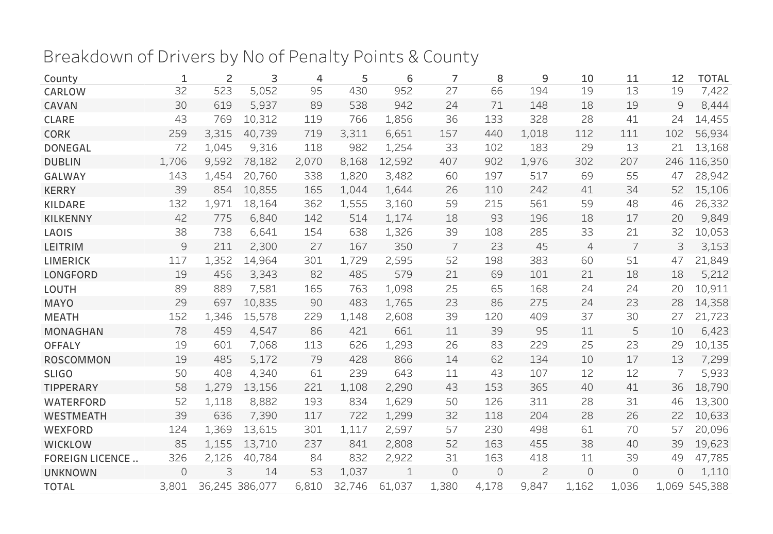## Breakdown of Drivers by No of Penalty Points & County

| County                 | 1     | 2     | 3              | 4     | 5      | 6      | 7       | 8        | 9              | 10             | 11       | 12       | <b>TOTAL</b>  |
|------------------------|-------|-------|----------------|-------|--------|--------|---------|----------|----------------|----------------|----------|----------|---------------|
| CARLOW                 | 32    | 523   | 5,052          | 95    | 430    | 952    | 27      | 66       | 194            | 19             | 13       | 19       | 7,422         |
| CAVAN                  | 30    | 619   | 5,937          | 89    | 538    | 942    | 24      | 71       | 148            | 18             | 19       | 9        | 8,444         |
| <b>CLARE</b>           | 43    | 769   | 10,312         | 119   | 766    | 1,856  | 36      | 133      | 328            | 28             | 41       | 24       | 14,455        |
| <b>CORK</b>            | 259   | 3,315 | 40,739         | 719   | 3,311  | 6,651  | 157     | 440      | 1,018          | 112            | 111      | 102      | 56,934        |
| <b>DONEGAL</b>         | 72    | 1,045 | 9,316          | 118   | 982    | 1,254  | 33      | 102      | 183            | 29             | 13       | 21       | 13,168        |
| <b>DUBLIN</b>          | 1,706 | 9,592 | 78,182         | 2,070 | 8,168  | 12,592 | 407     | 902      | 1,976          | 302            | 207      | 246      | 116,350       |
| <b>GALWAY</b>          | 143   | 1,454 | 20,760         | 338   | 1,820  | 3,482  | 60      | 197      | 517            | 69             | 55       | 47       | 28,942        |
| <b>KERRY</b>           | 39    | 854   | 10,855         | 165   | 1,044  | 1,644  | 26      | 110      | 242            | 41             | 34       | 52       | 15,106        |
| <b>KILDARE</b>         | 132   | 1,971 | 18,164         | 362   | 1,555  | 3,160  | 59      | 215      | 561            | 59             | 48       | 46       | 26,332        |
| <b>KILKENNY</b>        | 42    | 775   | 6,840          | 142   | 514    | 1,174  | 18      | 93       | 196            | 18             | 17       | 20       | 9,849         |
| LAOIS                  | 38    | 738   | 6,641          | 154   | 638    | 1,326  | 39      | 108      | 285            | 33             | 21       | 32       | 10,053        |
| <b>LEITRIM</b>         | 9     | 211   | 2,300          | 27    | 167    | 350    | 7       | 23       | 45             | $\overline{4}$ | 7        | 3        | 3,153         |
| <b>LIMERICK</b>        | 117   | 1,352 | 14,964         | 301   | 1,729  | 2,595  | 52      | 198      | 383            | 60             | 51       | 47       | 21,849        |
| <b>LONGFORD</b>        | 19    | 456   | 3,343          | 82    | 485    | 579    | 21      | 69       | 101            | 21             | 18       | 18       | 5,212         |
| LOUTH                  | 89    | 889   | 7,581          | 165   | 763    | 1,098  | 25      | 65       | 168            | 24             | 24       | 20       | 10,911        |
| <b>MAYO</b>            | 29    | 697   | 10,835         | 90    | 483    | 1,765  | 23      | 86       | 275            | 24             | 23       | 28       | 14,358        |
| <b>MEATH</b>           | 152   | 1,346 | 15,578         | 229   | 1,148  | 2,608  | 39      | 120      | 409            | 37             | 30       | 27       | 21,723        |
| <b>MONAGHAN</b>        | 78    | 459   | 4,547          | 86    | 421    | 661    | 11      | 39       | 95             | 11             | 5        | 10       | 6,423         |
| <b>OFFALY</b>          | 19    | 601   | 7,068          | 113   | 626    | 1,293  | 26      | 83       | 229            | 25             | 23       | 29       | 10,135        |
| <b>ROSCOMMON</b>       | 19    | 485   | 5,172          | 79    | 428    | 866    | 14      | 62       | 134            | 10             | 17       | 13       | 7,299         |
| <b>SLIGO</b>           | 50    | 408   | 4,340          | 61    | 239    | 643    | 11      | 43       | 107            | 12             | 12       | 7        | 5,933         |
| <b>TIPPERARY</b>       | 58    | 1,279 | 13,156         | 221   | 1,108  | 2,290  | 43      | 153      | 365            | 40             | 41       | 36       | 18,790        |
| <b>WATERFORD</b>       | 52    | 1,118 | 8,882          | 193   | 834    | 1,629  | 50      | 126      | 311            | 28             | 31       | 46       | 13,300        |
| <b>WESTMEATH</b>       | 39    | 636   | 7,390          | 117   | 722    | 1,299  | 32      | 118      | 204            | 28             | 26       | 22       | 10,633        |
| WEXFORD                | 124   | 1,369 | 13,615         | 301   | 1,117  | 2,597  | 57      | 230      | 498            | 61             | 70       | 57       | 20,096        |
| <b>WICKLOW</b>         | 85    | 1,155 | 13,710         | 237   | 841    | 2,808  | 52      | 163      | 455            | 38             | 40       | 39       | 19,623        |
| <b>FOREIGN LICENCE</b> | 326   | 2,126 | 40,784         | 84    | 832    | 2,922  | 31      | 163      | 418            | 11             | 39       | 49       | 47,785        |
| <b>UNKNOWN</b>         | 0     | 3     | 14             | 53    | 1,037  | 1      | $\circ$ | $\Omega$ | $\overline{c}$ | $\circ$        | $\Omega$ | $\Omega$ | 1,110         |
| <b>TOTAL</b>           | 3,801 |       | 36,245 386,077 | 6,810 | 32,746 | 61,037 | 1,380   | 4,178    | 9.847          | 1,162          | 1,036    |          | 1,069 545,388 |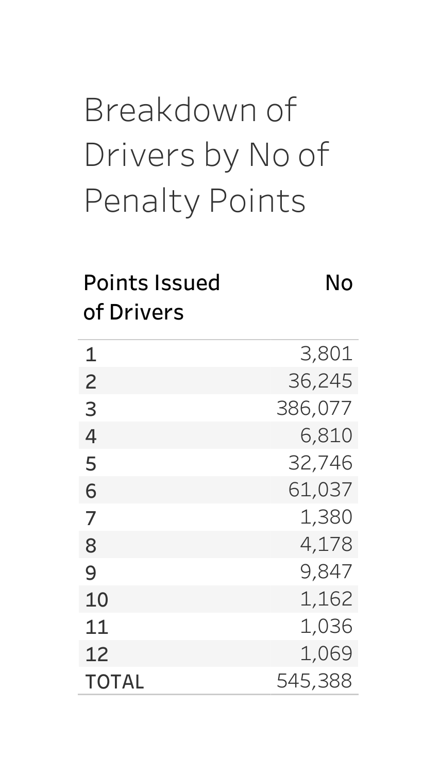## Breakdownof Drivers by No of Penalty Points

#### PointsIssued No ofDrivers

| 1              | 3,801   |
|----------------|---------|
| $\overline{c}$ | 36,245  |
| 3              | 386,077 |
| 4              | 6,810   |
| 5              | 32,746  |
| 6              | 61,037  |
| 7              | 1,380   |
| 8              | 4,178   |
| 9              | 9,847   |
| 10             | 1,162   |
| 11             | 1,036   |
| 12             | 1,069   |
| <b>TOTAL</b>   | 545,388 |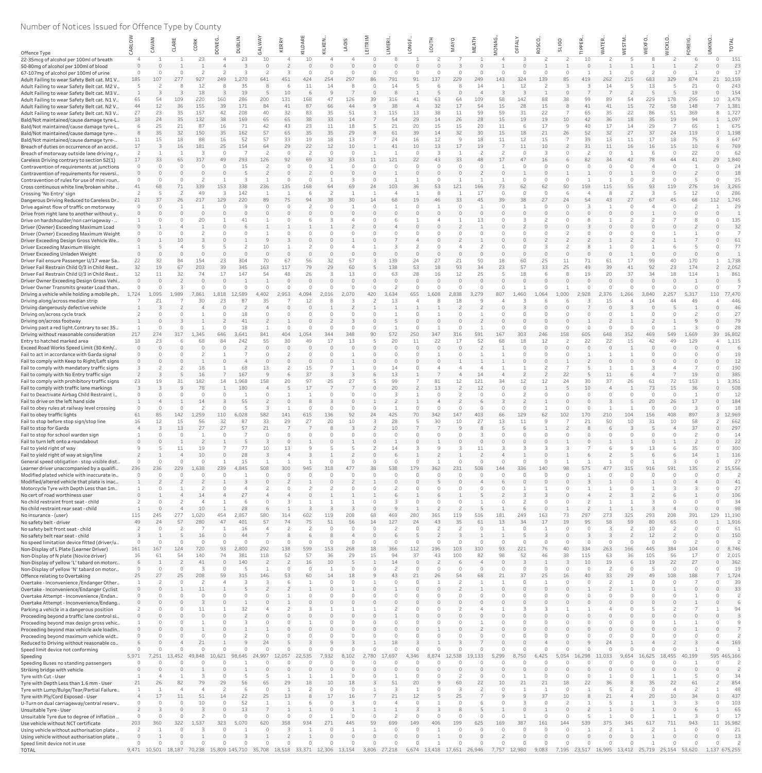# Number of Notices Issued for Offence Type by County

|                                                                                               |                       | NAV         |                     | CORK        | NEG                   |               | <b>NN</b>           | ERRY      | ⋖           |                       | LAOIS         |          | 쯦<br>Σ.     | NGF      |                    | <b>MAYO</b> | EAT       | <b>ONAG</b> | FALY     | SCO      | <b>SLIGO</b> |           | ATER        | in,       |                       | <b>VICKLO</b> |                                | UNKNO. |                 |
|-----------------------------------------------------------------------------------------------|-----------------------|-------------|---------------------|-------------|-----------------------|---------------|---------------------|-----------|-------------|-----------------------|---------------|----------|-------------|----------|--------------------|-------------|-----------|-------------|----------|----------|--------------|-----------|-------------|-----------|-----------------------|---------------|--------------------------------|--------|-----------------|
| Offence Type                                                                                  |                       |             |                     |             |                       | $\Omega$      |                     | ⊻         | KILD.       |                       |               |          |             |          |                    |             |           |             |          |          |              |           |             |           |                       |               |                                |        |                 |
| 22-35mcg of alcohol per 100ml of breath<br>50-80mg of alcohol per 100ml of blood              |                       |             |                     | 23          |                       | 23            | 10                  |           | 10          |                       |               |          |             |          |                    |             |           |             |          |          |              | 10        |             |           |                       |               |                                |        | 151<br>23       |
| 67-107mg of alcohol per 100ml of urine                                                        |                       |             |                     |             |                       |               |                     |           |             |                       |               |          |             |          |                    |             |           |             |          |          |              |           |             |           |                       |               |                                |        | 17              |
| Adult Failing to wear Safety Belt cat. M1 V                                                   | 185                   | 107         |                     | 927         |                       | 270           | 641                 |           |             |                       | 297           |          | 791         |          | 137                | 229         | 249       | 143         |          | 139      |              |           | 262         | 215       | 683                   | 329           | 874                            | 21     | 10,159          |
| Adult Failing to wear Safety Belt cat. M2 V                                                   |                       |             |                     |             |                       | 35<br>19      |                     | 10        |             |                       |               |          |             |          |                    |             |           |             |          |          |              |           |             |           | 13                    |               | 21<br>19                       |        | 243<br>154      |
| Adult Failing to wear Safety Belt cat. M3 V<br>Adult Failing to wear Safety Belt cat. N1 V    | 65                    | 54          | 109                 | 220         | 160                   | 286           | 200                 | 131       | 168         |                       | 126           | 39       | 316         |          | 63                 | 64          | 109       | 58          | 142      | 88       | 38           | 99        | 8s          | 54        | 229                   | 178           | 295                            | 1 ೧    | 3,478           |
| Adult Failing to wear Safety Belt cat. N2 V                                                   | 44                    | 12          | 36                  | 155         | 39                    | 171           | 84                  | 41        | 87          | 66                    | 44            |          | 38          |          | 32                 | 17          | 54        | 15          | 28       | 15       |              |           | 41          | 15        | 72                    | 58            | 148                            |        | 1,381           |
| Adult Failing to wear Safety Belt cat. N3 V                                                   | 27                    | 23          | 35                  | 157         | 42                    | 208           | 40                  | 32        | 83          | 35                    | 51            |          | 115         | 13       | 38                 | 11          | 59        | 59          | 31       | 22       |              | 65        | 35          | 22        | 86                    | 51            | 369                            |        | 1,727           |
| Bald/Not maintained/cause damage tyre-L<br>Bald/Not maintained/cause damage tyre-L            | 18                    | 24<br>25    | 35<br>21            | 132<br>87   | 38<br>16              | 169<br>71     | 65<br>42            | 65<br>43  | 38<br>23    | 33<br>11              | 14<br>18      |          | 54<br>21    | 29<br>20 | 14<br>15           | 26<br>15    | 28<br>20  | 15<br>11    | 19       | 19<br>17 | 10<br>- 9    | 42<br>40  | 36<br>17    | 18<br>14  | 35<br>29              | 19            | 94<br>65                       |        | 1,097<br>675    |
| Bald/Not maintained/cause damage tyre-                                                        |                       | 35          | 32                  | 150         | 35                    | 162           | 57                  | 65        | 35          | 35                    | 29            |          | 61          | 39       | 14                 | 32          | 30        | 15          | 18       | 21       | 26           | 52        | 32          | 27        | 37                    | 24            | 119                            |        | 1,198           |
| Bald/Not maintained/cause damage tyre-                                                        | 11                    | 15          | 18                  | 88          | 16                    | 52            | 57                  | 33        | 19          | 18                    | 13            |          | 24          | 16       | 12                 | 9           | 18        | 11          | 12       | 15       |              | 39        | 13          | 11        | 17                    | 18            | 75                             |        | 647             |
| Breach of duties on occurrence of an accid<br>Breach of motorway outside lane driving r       | 17                    |             | 16                  | 181         | 25<br>$\cap$          | 154           | 64<br>$\mathcal{P}$ | 29        | 22          | 12<br>$\cap$          | 10<br>$\cap$  |          | 41          | 10       | 13<br>$\mathbf{z}$ | 17          | 19        |             | 11       | 10<br>3  | $\cap$       | 31        | 11          | 16        | 16                    | 15            | 10<br>22                       |        | 769<br>62       |
| Careless Driving contrary to section 52(1)                                                    | 17                    | 33          | 65                  |             | 49                    | 293           | 126                 | 92        |             | 32                    | 33            |          | 121         |          | 43                 | 33          |           |             |          | 16       |              |           |             |           | 78                    |               |                                | 29     | 1,840           |
| Contravention of requirements at junctions                                                    |                       |             |                     |             |                       | 15            |                     |           |             |                       |               |          |             |          |                    |             |           |             |          |          |              |           |             |           |                       |               |                                |        | 24              |
| Contravention of requirements for reversi<br>Contravention of rules for use of mini roun      |                       |             |                     |             |                       |               |                     |           |             |                       |               |          |             |          |                    |             |           |             |          |          |              |           |             |           |                       |               |                                |        | 18<br>25        |
| Cross continuous white line/broken white                                                      | 41                    | 68          |                     | 339         | 153                   | 338           | 236                 | 135       | 168         | 64                    | 69            |          | 103         | 36       | 53                 | 121         | 166       | 73          |          | 62       | 50           | 159       | 115         | 55        | 93                    | 119           | 276                            | 16     | 3,265           |
| Crossing 'No Entry' sign                                                                      |                       |             |                     |             |                       | 142           |                     |           |             |                       |               |          |             |          | 8                  |             | 17        |             |          | $\cap$   |              |           |             |           |                       |               | 12                             |        | 286             |
| Dangerous Driving Reduced to Careless Dr                                                      | 21                    | 37          | 26                  | 217         | 129                   | 220           | 89                  | 75        | $Q_4$       | 38                    | 30            |          |             | 19       | 46                 | 33          | 45        | 39          | 38       | 27       | 24           |           | 43          | 27        | 67                    | 45            | 68                             | 112    | 1,745           |
| Drive against flow of traffic on motorway<br>Drive from right lane to another without y       |                       |             |                     |             |                       |               |                     |           |             |                       |               |          |             |          |                    |             |           |             |          |          |              |           |             |           |                       |               |                                |        | 29              |
| Drive on hardshoulder/non carriageway -                                                       |                       |             |                     |             |                       | 41            |                     |           |             |                       |               |          |             |          |                    |             | 13        |             |          |          |              |           |             |           |                       |               |                                |        | 135             |
| Driver (Owner) Exceeding Maximum Load                                                         |                       |             |                     |             |                       |               |                     |           |             |                       |               |          |             |          |                    |             |           |             |          |          |              |           |             |           |                       |               |                                |        | 32              |
| Driver (Owner) Exceeding Maximum Weight<br>Driver Exceeding Design Gross Vehicle We           |                       |             |                     |             |                       |               |                     |           |             |                       |               |          |             |          |                    |             |           |             |          |          |              |           |             |           |                       |               |                                |        | 61              |
| Driver Exceeding Maximum Weight                                                               |                       |             |                     |             |                       |               | 10                  |           |             |                       |               |          |             |          |                    |             |           |             |          |          |              |           |             |           |                       |               |                                |        | 77              |
| Driver Exceeding Unladen Weight                                                               |                       |             |                     |             |                       |               |                     |           |             |                       |               |          |             |          |                    |             |           |             |          |          |              |           |             |           |                       |               |                                |        |                 |
| Driver Fail ensure Passenger U/17 wear Sa.                                                    | 22                    | 32          | 84                  | 154         | 23                    | 304           | 70                  | 67        | 56          | 32                    | 57            |          | 139         | 24       | 27                 | 21          | 50        | 18          | 60       | 25       | 11           | 71        | 61          | 17        | 99                    | 40            | 170                            |        | 1,738           |
| Driver Fail Restrain Child 0/3 in Child Rest<br>Driver Fail Restrain Child U/3 in Child Rest. | 32<br>12 <sup>7</sup> | 19          | 67<br>32            | 203<br>74   | 39<br>17              | 345<br>147    | 163<br>54           | 117<br>48 | 79<br>26    | 29                    | 60            |          | 138<br>63   | 53<br>28 | 18<br>16           | 93          | 34        | 23          | 57<br>18 | 33       | 25           | 19        | 39<br>20    | 37        | 92<br>34              | 23<br>18      | 174<br>114                     |        | 2,052<br>861    |
| Driver Owner Exceeding Design Gross Vehi                                                      |                       |             |                     |             |                       |               |                     |           |             |                       |               |          |             |          |                    |             |           |             |          |          |              |           |             |           |                       |               |                                |        |                 |
| Driver Owner Transmits greater Load than                                                      |                       |             |                     |             |                       |               |                     |           |             |                       |               |          |             |          |                    |             |           |             |          |          |              |           |             |           |                       |               |                                |        |                 |
| Driving a vehicle while holding a mobile ph<br>Driving along/across median strip              | 1,724                 | 1,095<br>21 | 1,989               | 7.861<br>30 | 1,818<br>23           | 12,589<br>-87 | 4,402<br>35         | 2,953     | 4,094<br>12 | 2,016                 | 2,070         | 420      | 3,634<br>13 | 655      | .,608              | 2,838<br>18 | 3,279     | 807         | 1.460    | 1.064    | 1,000        | 2,928     | 2,376<br>15 | 1,266     | 3,840<br>14           | 2,257<br>44   | 5,317<br>49                    | 110    | 77,470<br>446   |
| Driving dangerously defective vehicle                                                         |                       |             |                     |             |                       |               |                     |           |             |                       |               |          |             |          |                    |             |           |             |          |          |              |           |             |           | $\cap$                |               |                                |        | 46              |
| Driving on/across cycle track                                                                 |                       |             |                     |             |                       | 18            |                     |           |             |                       |               |          |             |          |                    |             |           |             |          |          |              |           |             |           |                       |               |                                |        | 27              |
| Driving on/across footway<br>Driving past a red light. Contrary to sec 35                     |                       |             |                     |             |                       | 41<br>18      |                     |           |             |                       |               |          |             |          |                    |             |           |             |          |          |              |           |             |           |                       |               |                                |        | 79<br>28        |
| Driving without reasonable consideration                                                      | 217                   | 274         | 317                 | 1.345       | 646                   | 3.641         | 841                 | 404       | 1,054       | 344                   | 348           |          | 572         | 250      | 347                | 316         | 591       | 167         | 303      | 246      | 158          | 605       | 648         | 352       | 469                   | 549           | 1,669                          | 39     | 16,802          |
| Entry to hatched marked area                                                                  | 18                    | 23          |                     |             | 84                    | 242           | 55                  | 30        |             | 17                    | 13            |          | 20          | 11       | 22                 | 17          | 52        | 68          | 18       | 12       |              | 22        | 22          | 15        | 42                    | 49            | 129                            |        | 1,115           |
| Exceed Road Works Speed Limit (30 Kmh/                                                        |                       |             |                     |             |                       |               |                     |           |             |                       |               |          |             |          |                    |             |           |             |          |          |              |           |             |           |                       |               |                                |        | 6               |
| Fail to act in accordance with Garda signal<br>Fail to comply with Keep to Right/Left signs   |                       |             |                     |             |                       |               |                     |           |             |                       |               |          |             |          |                    |             |           |             |          |          |              |           |             |           |                       |               |                                |        | 19<br>12        |
| Fail to comply with mandatory traffic signs                                                   |                       |             |                     | 18          |                       | 68            | 13                  |           | 15          |                       |               |          | 14          |          |                    |             |           |             |          |          |              |           |             |           |                       |               |                                |        | 190             |
| Fail to comply with No Entry traffic sign                                                     |                       |             |                     |             |                       | 167           |                     |           | 37          |                       |               |          | 13          |          |                    |             | 14        |             |          |          | 22           |           | 11          |           |                       |               | 19                             |        | 385             |
| Fail to comply with prohibitory traffic signs<br>Fail to comply with traffic lane markings    | 23                    | 19          | 31                  | 182         | 14                    | .,968<br>180  | 158                 | 20        | 97          | 25                    | 27            |          | 99<br>20    |          | 81<br>13           | 12          | 121       | 34          | 12       | 12       | 24           | 30<br>10  | 37          | 26        | 61<br>73              | 72<br>15      | 153<br>36                      |        | 3,351<br>508    |
| Fail to Deactivate Airbag Child Restraint i.                                                  |                       |             |                     |             |                       |               |                     |           |             |                       |               | $\cap$   |             |          |                    |             |           |             |          |          |              | $\cap$    |             |           | $\cap$                | $\cap$        |                                |        | 12              |
| Fail to drive on the left hand side                                                           |                       |             |                     |             |                       | 55            |                     |           |             |                       |               |          |             |          |                    |             |           |             |          |          |              |           |             |           | 20                    | 26            | 17                             |        | 184             |
| Fail to obey rules at railway level crossing                                                  |                       |             |                     |             |                       |               |                     |           |             |                       |               |          |             |          |                    |             |           |             |          |          |              |           |             |           |                       |               |                                |        | 18              |
| Fail to obey traffic lights<br>Fail to stop before stop sign/stop line                        | 61<br>16              | 85<br>12    | 142<br>15           | 1,259<br>56 | 110<br>32             | 6,028<br>87   | 582<br>33           | 141<br>29 | 615<br>27   | 136<br>20             | 92<br>10      | 24       | 425<br>28   |          | 342<br>30          | 147<br>10   | 403<br>27 | 66<br>13    | 129      | 62       | 102          | 170<br>21 | 210<br>50   | 104<br>10 | 156<br>31             | 408<br>10     | 897<br>58                      |        | 3 12,969<br>662 |
| Fail to stop for Garda                                                                        | $\Delta$              |             | 13                  | 27          | 27                    | 57            | 21                  |           |             |                       |               |          | 10          |          |                    |             |           |             |          |          |              |           |             |           |                       |               | 37                             |        | 297             |
| Fail to stop for school warden sign                                                           |                       |             |                     |             |                       |               |                     |           |             |                       |               |          |             |          |                    |             |           |             |          |          |              |           |             |           |                       |               |                                |        | 14              |
| Fail to turn left onto a roundabout<br>Fail to yield right of way                             | $\Omega$              |             |                     | 19          |                       | 77            | 10                  | 13        |             |                       |               |          | 14          |          |                    |             |           |             |          |          |              |           |             |           | 13                    |               | 35                             |        | 22<br>300       |
| Fail to yield right of way at sign/line                                                       |                       |             |                     | 10          |                       | 28            |                     |           |             |                       |               | $\cap$   |             |          |                    |             |           |             |          |          |              |           |             |           |                       |               | 14                             |        | 116             |
| General speed obligation - stop visible dist                                                  |                       | $\Omega$    |                     | $\Omega$    |                       | 15            |                     |           |             | $\Omega$              |               | $\Omega$ | $\cap$      |          |                    | $\cap$      | $\Omega$  |             |          | $\Omega$ |              |           |             |           |                       | 3             | $\Omega$                       |        | 27              |
| Learner driver unaccompanied by a qualifi<br>Modified plated vehicle with inaccurate in.      | 236                   | 236         | 229                 | 1,638       | 239                   | .845          | 508                 | 300       | 945         | 318                   |               | 38       | 538         | 179      | 362                | 231         | 508       | 144         | 336      | 140      | 98           |           |             | 315       | 916                   | 591           | 135                            |        | 15,556          |
| Modified/altered vehicle that plate is inac                                                   |                       |             |                     |             |                       |               |                     |           |             |                       |               |          |             |          |                    |             |           |             |          |          |              |           |             |           |                       |               |                                |        | 41              |
| Motorcycle Tyre with Depth Less than 1m                                                       |                       |             |                     |             |                       |               |                     |           |             |                       |               |          |             |          |                    |             |           |             |          |          |              |           |             |           |                       |               |                                |        | 27              |
| No cert of road worthiness user                                                               |                       |             |                     |             |                       |               |                     |           |             |                       |               | $\cap$   |             |          |                    |             |           |             |          |          |              |           |             |           |                       |               |                                |        | 106             |
| No child restraint front seat - child<br>No child restraint rear seat - child                 |                       |             |                     |             |                       |               |                     |           |             |                       |               |          |             |          |                    |             |           |             |          |          |              |           |             |           |                       |               |                                |        | 34<br>98        |
| No insurance - (user)                                                                         | 115                   |             |                     | 1.020       |                       |               |                     |           |             |                       |               |          |             |          |                    |             |           |             |          |          |              |           |             |           |                       |               | 391                            | 129    | 11,190          |
| No safety belt - driver                                                                       | 49                    | 24          | 57                  | 280         |                       | 401           | 57                  | 74        | 75          | 51                    | 56            | 14       | 127         | 24       | 43                 | 35          | 61        | 13          |          | 17       | 19           | 95        | 58          | 59        | 80                    | 65            |                                |        | 1,916           |
| No safety belt front seat - child<br>No safety belt rear seat - child                         |                       |             |                     | 16          | $\cap$                | 16<br>44      |                     |           |             |                       |               |          |             |          |                    |             |           |             |          |          |              |           |             |           | 10<br>12 <sup>2</sup> |               | $\bigcap$                      |        | 61<br>150       |
| No speed limitation device fitted (driver/u                                                   |                       |             |                     |             | $\cap$                |               |                     |           |             |                       |               |          |             |          |                    |             |           |             |          |          |              |           |             |           | $\Omega$              |               |                                |        |                 |
| Non-Display of L Plate (Learner Driver)                                                       | 161                   | 167         | 124                 | 720         | 93                    | ,800          | 292                 | 138       | 599         | 153                   | 268           | 18       | 366         | 112      | 196                | 103         | 310       | 93          | 221      | 76       | 40           | 334       | 263         | 166       | 445                   | 384           | 104                            |        | 8,746           |
| Non-Display of N plate (Novice driver)<br>Non-Display of yellow 'L' tabard on motorc          | 16                    |             | 54                  | 140<br>41   | 74<br>$\cap$          | 381<br>140    | 118                 | 52        | 16          | 36<br>10 <sup>1</sup> | 29            | 15       | 94<br>14    | 37       | 43                 | 100         | 82        | 98          | 52       | 46       | 38           | 115<br>10 | 63<br>19    | 36        | 105<br>19             | 56<br>22      | 17<br>27                       |        | 2,015<br>362    |
| Non-Display of yellow 'N' tabard on motor                                                     |                       |             |                     |             |                       |               |                     |           |             |                       |               |          |             |          |                    |             |           |             |          |          |              |           |             |           |                       |               |                                |        | 19              |
| Offence relating to Overtaking                                                                | 25                    | 27          | 25                  | 208         | 59                    | 315           | 146                 |           |             | 14                    | 18            |          |             |          | 26                 |             |           |             |          | 25       |              |           | 33          |           | 49                    | 108           | 188                            |        | 1,724           |
| Overtake - Inconvenience / Endanger Other                                                     |                       |             |                     |             |                       |               |                     |           |             |                       |               |          |             |          |                    |             |           |             |          |          |              |           |             |           |                       |               |                                |        | 39              |
| Overtake - Inconvenience/Endanger Cyclist<br>Overtake Attempt - Inconvenience / Endan         |                       |             |                     |             |                       |               |                     |           |             |                       |               |          |             |          |                    |             |           |             |          |          |              |           |             |           |                       |               |                                |        | 33              |
| Overtake Attempt - Inconvenience/Endang                                                       |                       |             |                     |             |                       |               |                     |           |             |                       |               |          |             |          |                    |             |           |             |          |          |              |           |             |           |                       |               |                                |        |                 |
| Parking a vehicle in a dangerous position                                                     |                       |             |                     |             |                       | 32            |                     |           |             |                       |               |          |             |          |                    |             |           |             |          |          |              |           |             |           |                       |               |                                |        | 94              |
| Proceeding beyond a traffic lane control si<br>Proceeding beyond max design gross vehic       |                       |             |                     |             |                       |               |                     |           |             |                       |               | $\cap$   |             |          |                    |             |           |             |          | $\Omega$ |              |           |             |           |                       |               |                                |        |                 |
| Proceeding beyond max vehicle axle loadin                                                     |                       |             |                     |             |                       |               |                     |           |             |                       |               |          |             |          |                    |             |           |             |          |          |              |           |             |           |                       |               |                                |        |                 |
| Proceeding beyond maximum vehicle widt                                                        | $\cap$                |             |                     |             |                       |               |                     |           |             |                       |               |          |             |          |                    |             |           |             |          |          |              |           |             |           |                       |               |                                |        |                 |
| Reduced to Driving without reasonable co                                                      |                       |             |                     |             |                       |               |                     |           |             |                       |               |          |             |          |                    |             |           |             |          |          |              |           |             |           |                       |               |                                |        | 169             |
| Speed limit device not conforming<br>Speeding                                                 | 5,971                 | 7.251       | 13.452              | 49.848      | 10.621                | -98.<br>.645  | 24.997              | 12.057    | 22.535      | .932                  | 8.102         |          | 17.697      | 4.346    | 8.874              | 12,538      | 19.133    | 5.299       |          | 5.425    | 5.054        | 16.298    | 11,033      | 9.654     | 16,625                | 18,455        | 40.199                         |        | 595 465,166     |
| Speeding Buses no standing passengers                                                         |                       |             |                     |             |                       |               |                     |           |             |                       |               |          |             |          |                    |             |           |             |          |          |              |           |             |           |                       |               |                                |        |                 |
| Striking bridge with vehicle                                                                  | $\cap$                |             |                     |             |                       |               |                     |           |             |                       |               |          |             |          |                    |             |           |             |          |          |              |           |             |           |                       |               |                                |        |                 |
| Tyre with Cut - User<br>Tyre with Depth Less than 1.6 mm - User                               | 21                    | 26          | 82                  | 79          | 29                    | 56            | 65                  | 29        |             | 10                    | 18            |          | 51          | 20       | q                  | 60          | 22        | 10          | 21       | 21       | 18           | 22        | 36          |           | 35                    | 22            | 61                             |        | 34<br>854       |
| Tyre with Lump/Bulge/Tear/Partial Failure                                                     |                       |             |                     |             |                       |               |                     |           |             |                       |               |          |             |          |                    |             |           |             |          |          |              |           |             |           | $\Omega$              |               |                                |        | 48              |
| Tyre with Ply/Cord Exposed - User                                                             |                       | 17          | 11                  | 51          | 14                    | 22            | 25                  | 13        |             | 17                    | 16            |          | 21          | 12       |                    | 25          |           |             |          | 37       | $10^{-}$     |           | 21          |           | 20                    | 10            | 34                             |        | 437             |
| U-Turn on dual carriageway/central reserv                                                     |                       |             |                     |             | $\Omega$              | 52<br>13      |                     |           |             |                       |               |          |             |          |                    |             |           |             |          |          |              |           |             |           |                       |               |                                |        | 103             |
| Unsuitable Tyre - User<br>Unsuitable Tyre due to degree of inflation                          |                       |             |                     |             |                       |               |                     |           |             |                       |               |          |             |          |                    |             |           |             |          |          |              |           |             |           |                       |               |                                |        | 65<br>17        |
| Use vehicle without NCT certificate                                                           | 203                   | 360         | 322                 | 1.537       | 323                   |               | 620                 | 358       | 934         |                       |               |          | 699         |          |                    | 199         | 625       | 169         |          |          | 144          |           |             |           |                       |               | 943                            | 11     | 16,982          |
| Using vehicle without authorisation plate.                                                    |                       |             |                     |             |                       |               |                     |           |             |                       |               |          |             |          |                    |             |           |             |          |          |              |           |             |           |                       |               |                                |        | 21              |
| Using vehicle without authorisation plate.<br>Speed limit device not in use                   | $\cap$                |             |                     |             |                       |               |                     |           |             |                       |               |          |             |          |                    |             |           |             |          |          |              |           |             |           |                       |               |                                |        | 13              |
| <b>TOTAL</b>                                                                                  |                       |             | 9,471 10,501 18,187 | 70,238      | 15,809 145,710 35,708 |               |                     | 18,518    | 33,371      |                       | 12,306 13,154 | 3,806    | 27,218      | 6.674    | 13,418             | 17,651      | 26,946    | 7.757       | 12,980   | 9,083    | 7,195        | 23,517    | 16,995      |           |                       |               | 13,412  25,719  25,154  53,620 |        | 1,137 675,255   |